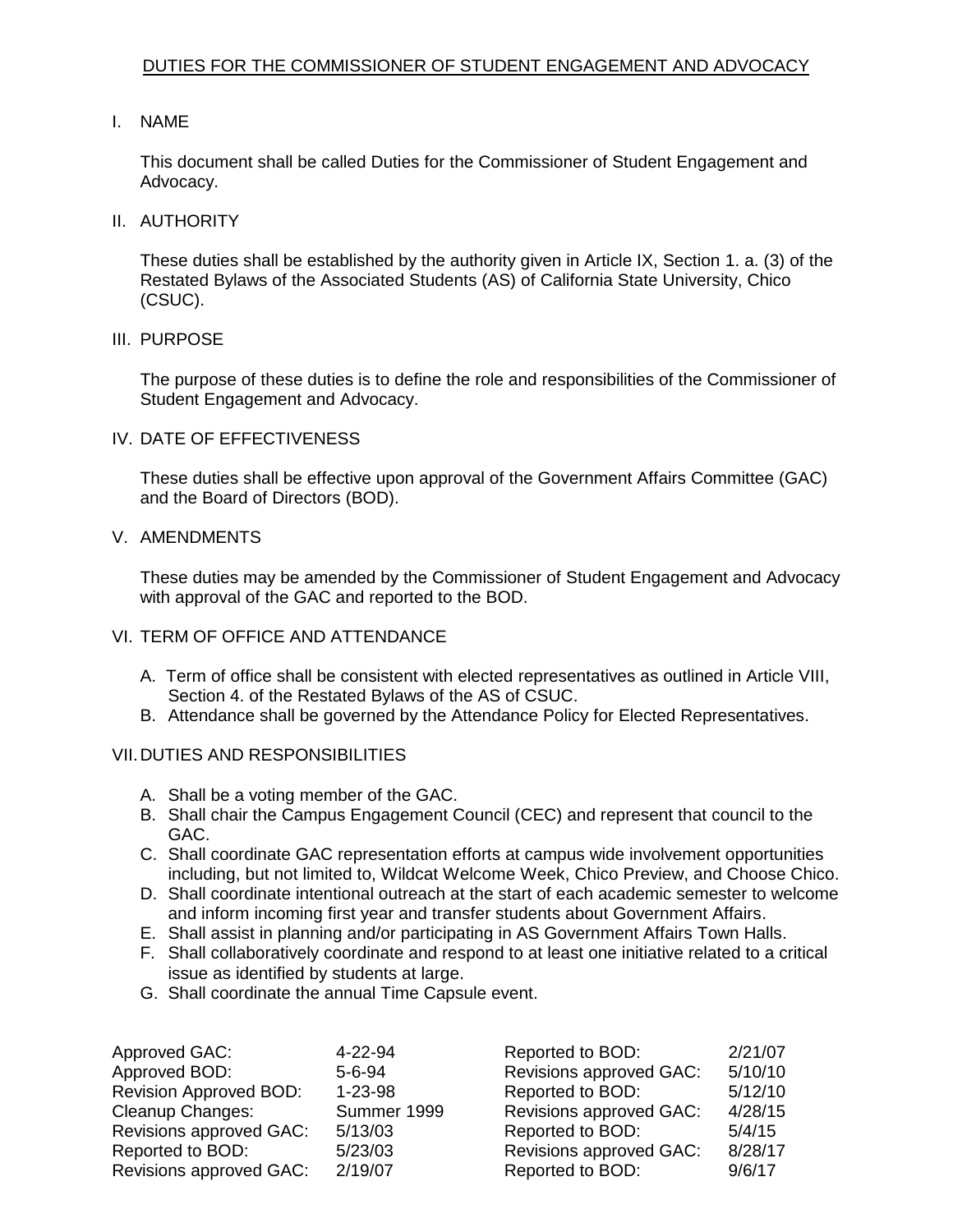## I. NAME

 This document shall be called Duties for the Commissioner of Student Engagement and Advocacy.

## II. AUTHORITY

 These duties shall be established by the authority given in Article IX, Section 1. a. (3) of the Restated Bylaws of the Associated Students (AS) of California State University, Chico (CSUC).

#### III. PURPOSE

 The purpose of these duties is to define the role and responsibilities of the Commissioner of Student Engagement and Advocacy.

#### IV. DATE OF EFFECTIVENESS

 These duties shall be effective upon approval of the Government Affairs Committee (GAC) and the Board of Directors (BOD).

# V. AMENDMENTS

 These duties may be amended by the Commissioner of Student Engagement and Advocacy with approval of the GAC and reported to the BOD.

## VI. TERM OF OFFICE AND ATTENDANCE

- A. Term of office shall be consistent with elected representatives as outlined in Article VIII, Section 4. of the Restated Bylaws of the AS of CSUC.
- B. Attendance shall be governed by the Attendance Policy for Elected Representatives.

## VII.DUTIES AND RESPONSIBILITIES

- A. Shall be a voting member of the GAC.
- B. Shall chair the Campus Engagement Council (CEC) and represent that council to the GAC.
- including, but not limited to, Wildcat Welcome Week, Chico Preview, and Choose Chico. C. Shall coordinate GAC representation efforts at campus wide involvement opportunities
- D. Shall coordinate intentional outreach at the start of each academic semester to welcome and inform incoming first year and transfer students about Government Affairs.
- E. Shall assist in planning and/or participating in AS Government Affairs Town Halls.
- F. Shall collaboratively coordinate and respond to at least one initiative related to a critical issue as identified by students at large.
- G. Shall coordinate the annual Time Capsule event.

| Approved GAC:                 | 4-22-94       | Reported to BOD:               | 2/21/07 |
|-------------------------------|---------------|--------------------------------|---------|
| Approved BOD:                 | $5 - 6 - 94$  | <b>Revisions approved GAC:</b> | 5/10/10 |
| <b>Revision Approved BOD:</b> | $1 - 23 - 98$ | Reported to BOD:               | 5/12/10 |
| Cleanup Changes:              | Summer 1999   | <b>Revisions approved GAC:</b> | 4/28/15 |
| Revisions approved GAC:       | 5/13/03       | Reported to BOD:               | 5/4/15  |
| Reported to BOD:              | 5/23/03       | <b>Revisions approved GAC:</b> | 8/28/17 |
| Revisions approved GAC:       | 2/19/07       | Reported to BOD:               | 9/6/17  |

| Reported to BOD:               | 2/21/07 |
|--------------------------------|---------|
| Revisions approved GAC:        | 5/10/10 |
| Reported to BOD:               | 5/12/10 |
| <b>Revisions approved GAC:</b> | 4/28/15 |
| Reported to BOD:               | 5/4/15  |
| <b>Revisions approved GAC:</b> | 8/28/17 |
| Reported to BOD:               | 9/6/17  |